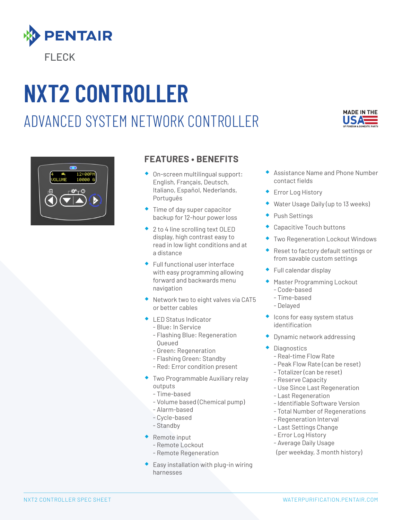

# **NXT2 CONTROLLER** ADVANCED SYSTEM NETWORK CONTROLLER





## **FEATURES • BENEFITS**

- ◆ On-screen multilingual support: English, FranÇais, Deutsch, Italiano, Español, Nederlands, Português
- ◆ Time of day super capacitor backup for 12-hour power loss
- ◆ 2 to 4 line scrolling text OLED display, high contrast easy to read in low light conditions and at a distance
- ® Full functional user interface with easy programming allowing forward and backwards menu navigation
- ® Network two to eight valves via CAT5 or better cables
- ® LED Status Indicator
	- Blue: In Service
	- Flashing Blue: Regeneration Queued
	- Green: Regeneration
- Flashing Green: Standby
- Red: Error condition present
- ® Two Programmable Auxiliary relay outputs
	- Time-based
	- Volume based (Chemical pump)
	- Alarm-based
	- Cycle-based
	- Standby
- ® Remote input
	- Remote Lockout
	- Remote Regeneration
- $\bullet$  Easy installation with plug-in wiring harnesses
- ® Assistance Name and Phone Number contact fields
- Error Log History
- Water Usage Daily (up to 13 weeks)
- Push Settings
- Capacitive Touch buttons
- Two Regeneration Lockout Windows
- ® Reset to factory default settings or from savable custom settings
- Full calendar display
- **Master Programming Lockout** - Code-based
	- Time-based
	- Delayed
- $\bullet$  Icons for easy system status identification
- ® Dynamic network addressing
- **Diagnostics** 
	- Real-time Flow Rate
	- Peak Flow Rate (can be reset)
	- Totalizer (can be reset)
	- Reserve Capacity
	- Use Since Last Regeneration
	- Last Regeneration
	- Identifiable Software Version
	- Total Number of Regenerations
	- Regeneration Interval
	- Last Settings Change
	- Error Log History
	- Average Daily Usage
	- (per weekday, 3 month history)